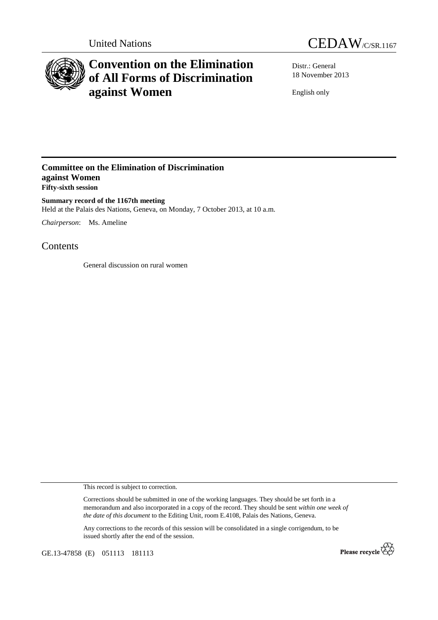



## **Convention on the Elimination of All Forms of Discrimination against Women**

Distr.: General 18 November 2013

English only

## **Committee on the Elimination of Discrimination against Women Fifty-sixth session**

**Summary record of the 1167th meeting**  Held at the Palais des Nations, Geneva, on Monday, 7 October 2013, at 10 a.m.

*Chairperson*: Ms. Ameline

Contents

General discussion on rural women

This record is subject to correction.

Corrections should be submitted in one of the working languages. They should be set forth in a memorandum and also incorporated in a copy of the record. They should be sent *within one week of the date of this document* to the Editing Unit, room E.4108, Palais des Nations, Geneva.

Any corrections to the records of this session will be consolidated in a single corrigendum, to be issued shortly after the end of the session.

GE.13-47858 (E) 051113 181113

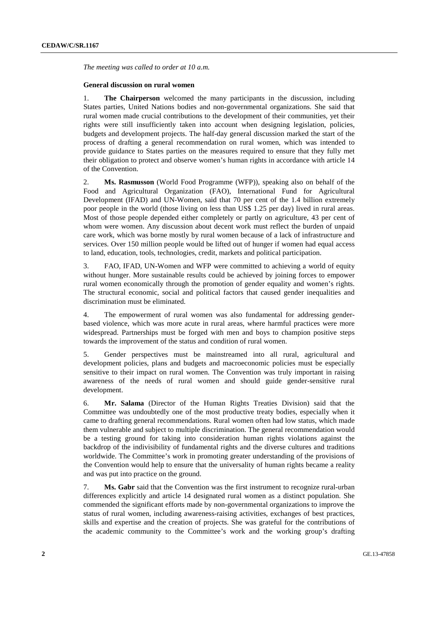*The meeting was called to order at 10 a.m.* 

## **General discussion on rural women**

1. **The Chairperson** welcomed the many participants in the discussion, including States parties, United Nations bodies and non-governmental organizations. She said that rural women made crucial contributions to the development of their communities, yet their rights were still insufficiently taken into account when designing legislation, policies, budgets and development projects. The half-day general discussion marked the start of the process of drafting a general recommendation on rural women, which was intended to provide guidance to States parties on the measures required to ensure that they fully met their obligation to protect and observe women's human rights in accordance with article 14 of the Convention.

2. **Ms. Rasmusson** (World Food Programme (WFP)), speaking also on behalf of the Food and Agricultural Organization (FAO), International Fund for Agricultural Development (IFAD) and UN-Women, said that 70 per cent of the 1.4 billion extremely poor people in the world (those living on less than US\$ 1.25 per day) lived in rural areas. Most of those people depended either completely or partly on agriculture, 43 per cent of whom were women. Any discussion about decent work must reflect the burden of unpaid care work, which was borne mostly by rural women because of a lack of infrastructure and services. Over 150 million people would be lifted out of hunger if women had equal access to land, education, tools, technologies, credit, markets and political participation.

3. FAO, IFAD, UN-Women and WFP were committed to achieving a world of equity without hunger. More sustainable results could be achieved by joining forces to empower rural women economically through the promotion of gender equality and women's rights. The structural economic, social and political factors that caused gender inequalities and discrimination must be eliminated.

4. The empowerment of rural women was also fundamental for addressing genderbased violence, which was more acute in rural areas, where harmful practices were more widespread. Partnerships must be forged with men and boys to champion positive steps towards the improvement of the status and condition of rural women.

5. Gender perspectives must be mainstreamed into all rural, agricultural and development policies, plans and budgets and macroeconomic policies must be especially sensitive to their impact on rural women. The Convention was truly important in raising awareness of the needs of rural women and should guide gender-sensitive rural development.

6. **Mr. Salama** (Director of the Human Rights Treaties Division) said that the Committee was undoubtedly one of the most productive treaty bodies, especially when it came to drafting general recommendations. Rural women often had low status, which made them vulnerable and subject to multiple discrimination. The general recommendation would be a testing ground for taking into consideration human rights violations against the backdrop of the indivisibility of fundamental rights and the diverse cultures and traditions worldwide. The Committee's work in promoting greater understanding of the provisions of the Convention would help to ensure that the universality of human rights became a reality and was put into practice on the ground.

7. **Ms. Gabr** said that the Convention was the first instrument to recognize rural-urban differences explicitly and article 14 designated rural women as a distinct population. She commended the significant efforts made by non-governmental organizations to improve the status of rural women, including awareness-raising activities, exchanges of best practices, skills and expertise and the creation of projects. She was grateful for the contributions of the academic community to the Committee's work and the working group's drafting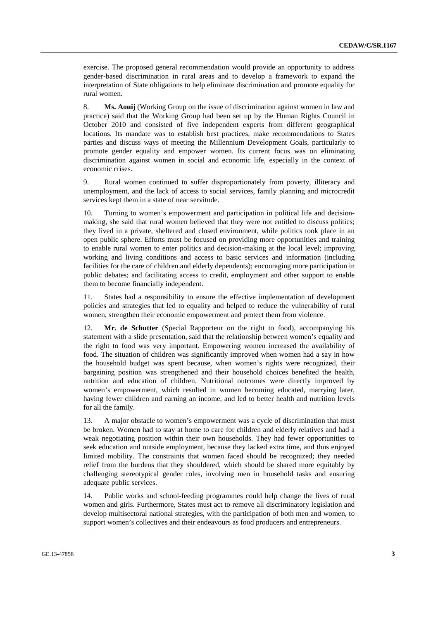exercise. The proposed general recommendation would provide an opportunity to address gender-based discrimination in rural areas and to develop a framework to expand the interpretation of State obligations to help eliminate discrimination and promote equality for rural women.

8. **Ms. Aouij** (Working Group on the issue of discrimination against women in law and practice) said that the Working Group had been set up by the Human Rights Council in October 2010 and consisted of five independent experts from different geographical locations. Its mandate was to establish best practices, make recommendations to States parties and discuss ways of meeting the Millennium Development Goals, particularly to promote gender equality and empower women. Its current focus was on eliminating discrimination against women in social and economic life, especially in the context of economic crises.

9. Rural women continued to suffer disproportionately from poverty, illiteracy and unemployment, and the lack of access to social services, family planning and microcredit services kept them in a state of near servitude.

Turning to women's empowerment and participation in political life and decisionmaking, she said that rural women believed that they were not entitled to discuss politics; they lived in a private, sheltered and closed environment, while politics took place in an open public sphere. Efforts must be focused on providing more opportunities and training to enable rural women to enter politics and decision-making at the local level; improving working and living conditions and access to basic services and information (including facilities for the care of children and elderly dependents); encouraging more participation in public debates; and facilitating access to credit, employment and other support to enable them to become financially independent.

11. States had a responsibility to ensure the effective implementation of development policies and strategies that led to equality and helped to reduce the vulnerability of rural women, strengthen their economic empowerment and protect them from violence.

12. **Mr. de Schutter** (Special Rapporteur on the right to food), accompanying his statement with a slide presentation, said that the relationship between women's equality and the right to food was very important. Empowering women increased the availability of food. The situation of children was significantly improved when women had a say in how the household budget was spent because, when women's rights were recognized, their bargaining position was strengthened and their household choices benefited the health, nutrition and education of children. Nutritional outcomes were directly improved by women's empowerment, which resulted in women becoming educated, marrying later, having fewer children and earning an income, and led to better health and nutrition levels for all the family.

13. A major obstacle to women's empowerment was a cycle of discrimination that must be broken. Women had to stay at home to care for children and elderly relatives and had a weak negotiating position within their own households. They had fewer opportunities to seek education and outside employment, because they lacked extra time, and thus enjoyed limited mobility. The constraints that women faced should be recognized; they needed relief from the burdens that they shouldered, which should be shared more equitably by challenging stereotypical gender roles, involving men in household tasks and ensuring adequate public services.

14. Public works and school-feeding programmes could help change the lives of rural women and girls. Furthermore, States must act to remove all discriminatory legislation and develop multisectoral national strategies, with the participation of both men and women, to support women's collectives and their endeavours as food producers and entrepreneurs.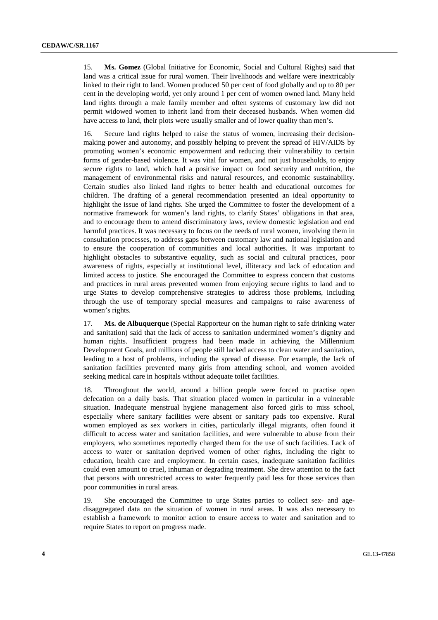15. **Ms. Gomez** (Global Initiative for Economic, Social and Cultural Rights) said that land was a critical issue for rural women. Their livelihoods and welfare were inextricably linked to their right to land. Women produced 50 per cent of food globally and up to 80 per cent in the developing world, yet only around 1 per cent of women owned land. Many held land rights through a male family member and often systems of customary law did not permit widowed women to inherit land from their deceased husbands. When women did have access to land, their plots were usually smaller and of lower quality than men's.

16. Secure land rights helped to raise the status of women, increasing their decisionmaking power and autonomy, and possibly helping to prevent the spread of HIV/AIDS by promoting women's economic empowerment and reducing their vulnerability to certain forms of gender-based violence. It was vital for women, and not just households, to enjoy secure rights to land, which had a positive impact on food security and nutrition, the management of environmental risks and natural resources, and economic sustainability. Certain studies also linked land rights to better health and educational outcomes for children. The drafting of a general recommendation presented an ideal opportunity to highlight the issue of land rights. She urged the Committee to foster the development of a normative framework for women's land rights, to clarify States' obligations in that area, and to encourage them to amend discriminatory laws, review domestic legislation and end harmful practices. It was necessary to focus on the needs of rural women, involving them in consultation processes, to address gaps between customary law and national legislation and to ensure the cooperation of communities and local authorities. It was important to highlight obstacles to substantive equality, such as social and cultural practices, poor awareness of rights, especially at institutional level, illiteracy and lack of education and limited access to justice. She encouraged the Committee to express concern that customs and practices in rural areas prevented women from enjoying secure rights to land and to urge States to develop comprehensive strategies to address those problems, including through the use of temporary special measures and campaigns to raise awareness of women's rights.

17. **Ms. de Albuquerque** (Special Rapporteur on the human right to safe drinking water and sanitation) said that the lack of access to sanitation undermined women's dignity and human rights. Insufficient progress had been made in achieving the Millennium Development Goals, and millions of people still lacked access to clean water and sanitation, leading to a host of problems, including the spread of disease. For example, the lack of sanitation facilities prevented many girls from attending school, and women avoided seeking medical care in hospitals without adequate toilet facilities.

18. Throughout the world, around a billion people were forced to practise open defecation on a daily basis. That situation placed women in particular in a vulnerable situation. Inadequate menstrual hygiene management also forced girls to miss school, especially where sanitary facilities were absent or sanitary pads too expensive. Rural women employed as sex workers in cities, particularly illegal migrants, often found it difficult to access water and sanitation facilities, and were vulnerable to abuse from their employers, who sometimes reportedly charged them for the use of such facilities. Lack of access to water or sanitation deprived women of other rights, including the right to education, health care and employment. In certain cases, inadequate sanitation facilities could even amount to cruel, inhuman or degrading treatment. She drew attention to the fact that persons with unrestricted access to water frequently paid less for those services than poor communities in rural areas.

19. She encouraged the Committee to urge States parties to collect sex- and agedisaggregated data on the situation of women in rural areas. It was also necessary to establish a framework to monitor action to ensure access to water and sanitation and to require States to report on progress made.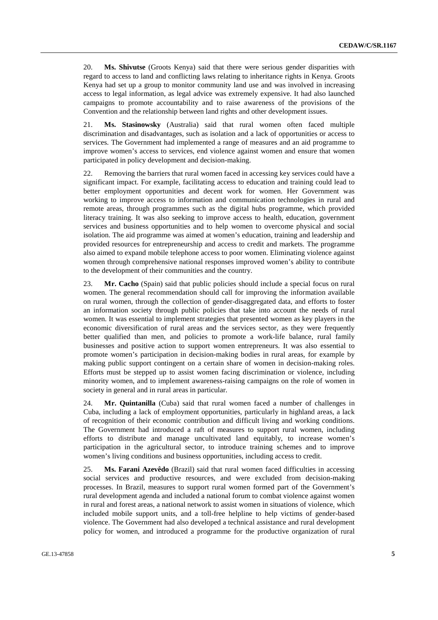20. **Ms. Shivutse** (Groots Kenya) said that there were serious gender disparities with regard to access to land and conflicting laws relating to inheritance rights in Kenya. Groots Kenya had set up a group to monitor community land use and was involved in increasing access to legal information, as legal advice was extremely expensive. It had also launched campaigns to promote accountability and to raise awareness of the provisions of the Convention and the relationship between land rights and other development issues.

21. **Ms. Stasinowsky** (Australia) said that rural women often faced multiple discrimination and disadvantages, such as isolation and a lack of opportunities or access to services. The Government had implemented a range of measures and an aid programme to improve women's access to services, end violence against women and ensure that women participated in policy development and decision-making.

22. Removing the barriers that rural women faced in accessing key services could have a significant impact. For example, facilitating access to education and training could lead to better employment opportunities and decent work for women. Her Government was working to improve access to information and communication technologies in rural and remote areas, through programmes such as the digital hubs programme, which provided literacy training. It was also seeking to improve access to health, education, government services and business opportunities and to help women to overcome physical and social isolation. The aid programme was aimed at women's education, training and leadership and provided resources for entrepreneurship and access to credit and markets. The programme also aimed to expand mobile telephone access to poor women. Eliminating violence against women through comprehensive national responses improved women's ability to contribute to the development of their communities and the country.

23. **Mr. Cacho** (Spain) said that public policies should include a special focus on rural women. The general recommendation should call for improving the information available on rural women, through the collection of gender-disaggregated data, and efforts to foster an information society through public policies that take into account the needs of rural women. It was essential to implement strategies that presented women as key players in the economic diversification of rural areas and the services sector, as they were frequently better qualified than men, and policies to promote a work-life balance, rural family businesses and positive action to support women entrepreneurs. It was also essential to promote women's participation in decision-making bodies in rural areas, for example by making public support contingent on a certain share of women in decision-making roles. Efforts must be stepped up to assist women facing discrimination or violence, including minority women, and to implement awareness-raising campaigns on the role of women in society in general and in rural areas in particular.

24. **Mr. Quintanilla** (Cuba) said that rural women faced a number of challenges in Cuba, including a lack of employment opportunities, particularly in highland areas, a lack of recognition of their economic contribution and difficult living and working conditions. The Government had introduced a raft of measures to support rural women, including efforts to distribute and manage uncultivated land equitably, to increase women's participation in the agricultural sector, to introduce training schemes and to improve women's living conditions and business opportunities, including access to credit.

25. **Ms. Farani Azevêdo** (Brazil) said that rural women faced difficulties in accessing social services and productive resources, and were excluded from decision-making processes. In Brazil, measures to support rural women formed part of the Government's rural development agenda and included a national forum to combat violence against women in rural and forest areas, a national network to assist women in situations of violence, which included mobile support units, and a toll-free helpline to help victims of gender-based violence. The Government had also developed a technical assistance and rural development policy for women, and introduced a programme for the productive organization of rural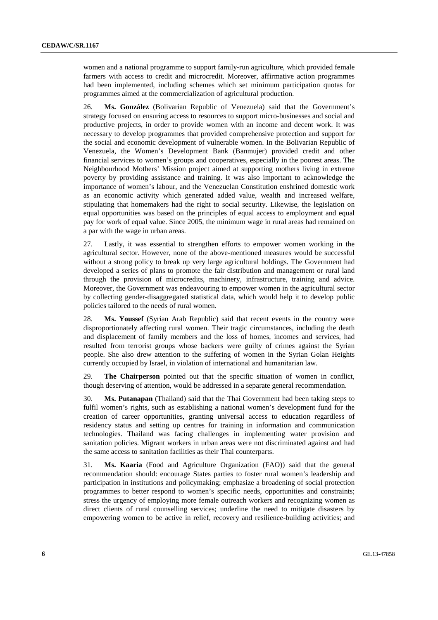women and a national programme to support family-run agriculture, which provided female farmers with access to credit and microcredit. Moreover, affirmative action programmes had been implemented, including schemes which set minimum participation quotas for programmes aimed at the commercialization of agricultural production.

26. **Ms. González** (Bolivarian Republic of Venezuela) said that the Government's strategy focused on ensuring access to resources to support micro-businesses and social and productive projects, in order to provide women with an income and decent work. It was necessary to develop programmes that provided comprehensive protection and support for the social and economic development of vulnerable women. In the Bolivarian Republic of Venezuela, the Women's Development Bank (Banmujer) provided credit and other financial services to women's groups and cooperatives, especially in the poorest areas. The Neighbourhood Mothers' Mission project aimed at supporting mothers living in extreme poverty by providing assistance and training. It was also important to acknowledge the importance of women's labour, and the Venezuelan Constitution enshrined domestic work as an economic activity which generated added value, wealth and increased welfare, stipulating that homemakers had the right to social security. Likewise, the legislation on equal opportunities was based on the principles of equal access to employment and equal pay for work of equal value. Since 2005, the minimum wage in rural areas had remained on a par with the wage in urban areas.

27. Lastly, it was essential to strengthen efforts to empower women working in the agricultural sector. However, none of the above-mentioned measures would be successful without a strong policy to break up very large agricultural holdings. The Government had developed a series of plans to promote the fair distribution and management or rural land through the provision of microcredits, machinery, infrastructure, training and advice. Moreover, the Government was endeavouring to empower women in the agricultural sector by collecting gender-disaggregated statistical data, which would help it to develop public policies tailored to the needs of rural women.

28. **Ms. Youssef** (Syrian Arab Republic) said that recent events in the country were disproportionately affecting rural women. Their tragic circumstances, including the death and displacement of family members and the loss of homes, incomes and services, had resulted from terrorist groups whose backers were guilty of crimes against the Syrian people. She also drew attention to the suffering of women in the Syrian Golan Heights currently occupied by Israel, in violation of international and humanitarian law.

29. **The Chairperson** pointed out that the specific situation of women in conflict, though deserving of attention, would be addressed in a separate general recommendation.

30. **Ms. Putanapan** (Thailand) said that the Thai Government had been taking steps to fulfil women's rights, such as establishing a national women's development fund for the creation of career opportunities, granting universal access to education regardless of residency status and setting up centres for training in information and communication technologies. Thailand was facing challenges in implementing water provision and sanitation policies. Migrant workers in urban areas were not discriminated against and had the same access to sanitation facilities as their Thai counterparts.

31. **Ms. Kaaria** (Food and Agriculture Organization (FAO)) said that the general recommendation should: encourage States parties to foster rural women's leadership and participation in institutions and policymaking; emphasize a broadening of social protection programmes to better respond to women's specific needs, opportunities and constraints; stress the urgency of employing more female outreach workers and recognizing women as direct clients of rural counselling services; underline the need to mitigate disasters by empowering women to be active in relief, recovery and resilience-building activities; and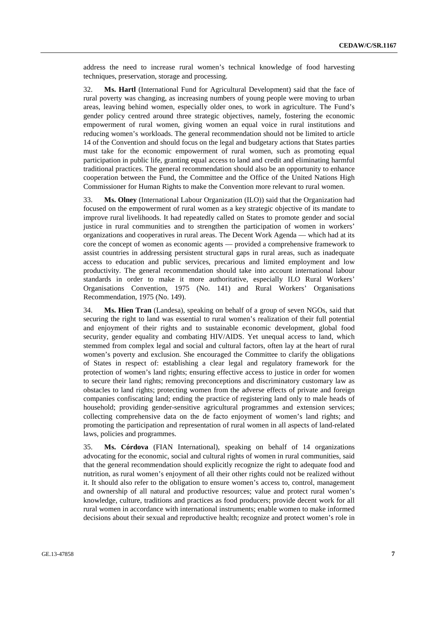address the need to increase rural women's technical knowledge of food harvesting techniques, preservation, storage and processing.

32. **Ms. Hartl** (International Fund for Agricultural Development) said that the face of rural poverty was changing, as increasing numbers of young people were moving to urban areas, leaving behind women, especially older ones, to work in agriculture. The Fund's gender policy centred around three strategic objectives, namely, fostering the economic empowerment of rural women, giving women an equal voice in rural institutions and reducing women's workloads. The general recommendation should not be limited to article 14 of the Convention and should focus on the legal and budgetary actions that States parties must take for the economic empowerment of rural women, such as promoting equal participation in public life, granting equal access to land and credit and eliminating harmful traditional practices. The general recommendation should also be an opportunity to enhance cooperation between the Fund, the Committee and the Office of the United Nations High Commissioner for Human Rights to make the Convention more relevant to rural women.

33. **Ms. Olney** (International Labour Organization (ILO)) said that the Organization had focused on the empowerment of rural women as a key strategic objective of its mandate to improve rural livelihoods. It had repeatedly called on States to promote gender and social justice in rural communities and to strengthen the participation of women in workers' organizations and cooperatives in rural areas. The Decent Work Agenda — which had at its core the concept of women as economic agents — provided a comprehensive framework to assist countries in addressing persistent structural gaps in rural areas, such as inadequate access to education and public services, precarious and limited employment and low productivity. The general recommendation should take into account international labour standards in order to make it more authoritative, especially ILO Rural Workers' Organisations Convention, 1975 (No. 141) and Rural Workers' Organisations Recommendation, 1975 (No. 149).

34. **Ms. Hien Tran** (Landesa), speaking on behalf of a group of seven NGOs, said that securing the right to land was essential to rural women's realization of their full potential and enjoyment of their rights and to sustainable economic development, global food security, gender equality and combating HIV/AIDS. Yet unequal access to land, which stemmed from complex legal and social and cultural factors, often lay at the heart of rural women's poverty and exclusion. She encouraged the Committee to clarify the obligations of States in respect of: establishing a clear legal and regulatory framework for the protection of women's land rights; ensuring effective access to justice in order for women to secure their land rights; removing preconceptions and discriminatory customary law as obstacles to land rights; protecting women from the adverse effects of private and foreign companies confiscating land; ending the practice of registering land only to male heads of household; providing gender-sensitive agricultural programmes and extension services; collecting comprehensive data on the de facto enjoyment of women's land rights; and promoting the participation and representation of rural women in all aspects of land-related laws, policies and programmes.

35. **Ms. Córdova** (FIAN International), speaking on behalf of 14 organizations advocating for the economic, social and cultural rights of women in rural communities, said that the general recommendation should explicitly recognize the right to adequate food and nutrition, as rural women's enjoyment of all their other rights could not be realized without it. It should also refer to the obligation to ensure women's access to, control, management and ownership of all natural and productive resources; value and protect rural women's knowledge, culture, traditions and practices as food producers; provide decent work for all rural women in accordance with international instruments; enable women to make informed decisions about their sexual and reproductive health; recognize and protect women's role in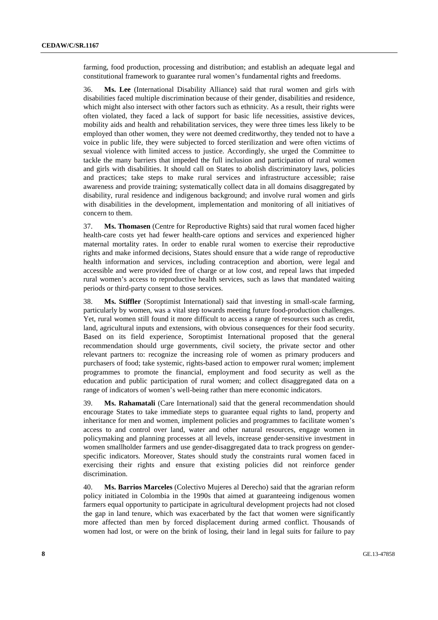farming, food production, processing and distribution; and establish an adequate legal and constitutional framework to guarantee rural women's fundamental rights and freedoms.

36. **Ms. Lee** (International Disability Alliance) said that rural women and girls with disabilities faced multiple discrimination because of their gender, disabilities and residence, which might also intersect with other factors such as ethnicity. As a result, their rights were often violated, they faced a lack of support for basic life necessities, assistive devices, mobility aids and health and rehabilitation services, they were three times less likely to be employed than other women, they were not deemed creditworthy, they tended not to have a voice in public life, they were subjected to forced sterilization and were often victims of sexual violence with limited access to justice. Accordingly, she urged the Committee to tackle the many barriers that impeded the full inclusion and participation of rural women and girls with disabilities. It should call on States to abolish discriminatory laws, policies and practices; take steps to make rural services and infrastructure accessible; raise awareness and provide training; systematically collect data in all domains disaggregated by disability, rural residence and indigenous background; and involve rural women and girls with disabilities in the development, implementation and monitoring of all initiatives of concern to them.

37. **Ms. Thomasen** (Centre for Reproductive Rights) said that rural women faced higher health-care costs yet had fewer health-care options and services and experienced higher maternal mortality rates. In order to enable rural women to exercise their reproductive rights and make informed decisions, States should ensure that a wide range of reproductive health information and services, including contraception and abortion, were legal and accessible and were provided free of charge or at low cost, and repeal laws that impeded rural women's access to reproductive health services, such as laws that mandated waiting periods or third-party consent to those services.

38. **Ms. Stiffler** (Soroptimist International) said that investing in small-scale farming, particularly by women, was a vital step towards meeting future food-production challenges. Yet, rural women still found it more difficult to access a range of resources such as credit, land, agricultural inputs and extensions, with obvious consequences for their food security. Based on its field experience, Soroptimist International proposed that the general recommendation should urge governments, civil society, the private sector and other relevant partners to: recognize the increasing role of women as primary producers and purchasers of food; take systemic, rights-based action to empower rural women; implement programmes to promote the financial, employment and food security as well as the education and public participation of rural women; and collect disaggregated data on a range of indicators of women's well-being rather than mere economic indicators.

39. **Ms. Rahamatali** (Care International) said that the general recommendation should encourage States to take immediate steps to guarantee equal rights to land, property and inheritance for men and women, implement policies and programmes to facilitate women's access to and control over land, water and other natural resources, engage women in policymaking and planning processes at all levels, increase gender-sensitive investment in women smallholder farmers and use gender-disaggregated data to track progress on genderspecific indicators. Moreover, States should study the constraints rural women faced in exercising their rights and ensure that existing policies did not reinforce gender discrimination.

40. **Ms. Barrios Marceles** (Colectivo Mujeres al Derecho) said that the agrarian reform policy initiated in Colombia in the 1990s that aimed at guaranteeing indigenous women farmers equal opportunity to participate in agricultural development projects had not closed the gap in land tenure, which was exacerbated by the fact that women were significantly more affected than men by forced displacement during armed conflict. Thousands of women had lost, or were on the brink of losing, their land in legal suits for failure to pay